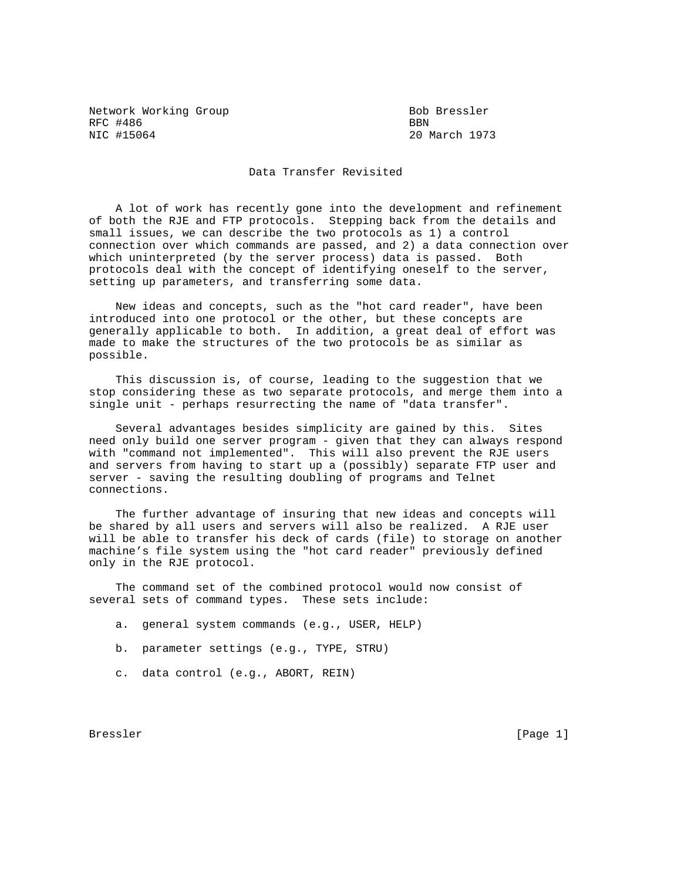Network Working Group Bob Bressler RFC #486 BBN BBN 860<br>NIC #15064 20 BBN 20

20 March 1973

## Data Transfer Revisited

 A lot of work has recently gone into the development and refinement of both the RJE and FTP protocols. Stepping back from the details and small issues, we can describe the two protocols as 1) a control connection over which commands are passed, and 2) a data connection over which uninterpreted (by the server process) data is passed. Both protocols deal with the concept of identifying oneself to the server, setting up parameters, and transferring some data.

 New ideas and concepts, such as the "hot card reader", have been introduced into one protocol or the other, but these concepts are generally applicable to both. In addition, a great deal of effort was made to make the structures of the two protocols be as similar as possible.

 This discussion is, of course, leading to the suggestion that we stop considering these as two separate protocols, and merge them into a single unit - perhaps resurrecting the name of "data transfer".

 Several advantages besides simplicity are gained by this. Sites need only build one server program - given that they can always respond with "command not implemented". This will also prevent the RJE users and servers from having to start up a (possibly) separate FTP user and server - saving the resulting doubling of programs and Telnet connections.

 The further advantage of insuring that new ideas and concepts will be shared by all users and servers will also be realized. A RJE user will be able to transfer his deck of cards (file) to storage on another machine's file system using the "hot card reader" previously defined only in the RJE protocol.

 The command set of the combined protocol would now consist of several sets of command types. These sets include:

- a. general system commands (e.g., USER, HELP)
- b. parameter settings (e.g., TYPE, STRU)
- c. data control (e.g., ABORT, REIN)

Bressler [Page 1] [Page 1] [Page 1] [Page 1] [Page 1]